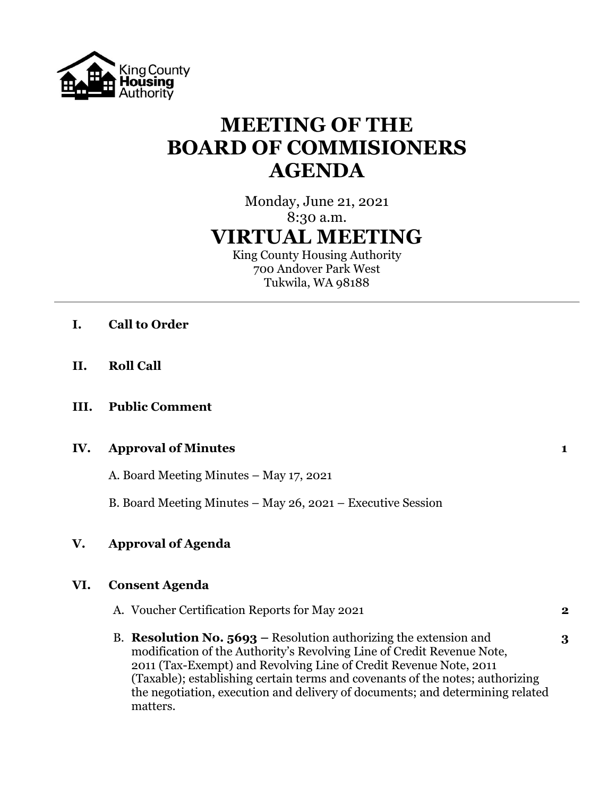

# **MEETING OF THE BOARD OF COMMISIONERS AGENDA**

## Monday, June 21, 2021 8:30 a.m. **VIRTUAL MEETING**

King County Housing Authority 700 Andover Park West Tukwila, WA 98188

- **I. Call to Order**
- **II. Roll Call**
- **III. Public Comment**

#### **IV. Approval of Minutes 1**

A. Board Meeting Minutes – May 17, 2021

B. Board Meeting Minutes – May 26, 2021 – Executive Session

### **V. Approval of Agenda**

#### **VI. Consent Agenda**

- A. Voucher Certification Reports for May 2021 **2**
- B. **Resolution No. 5693 –** Resolution authorizing the extension and **3** modification of the Authority's Revolving Line of Credit Revenue Note, 2011 (Tax-Exempt) and Revolving Line of Credit Revenue Note, 2011 (Taxable); establishing certain terms and covenants of the notes; authorizing the negotiation, execution and delivery of documents; and determining related matters.